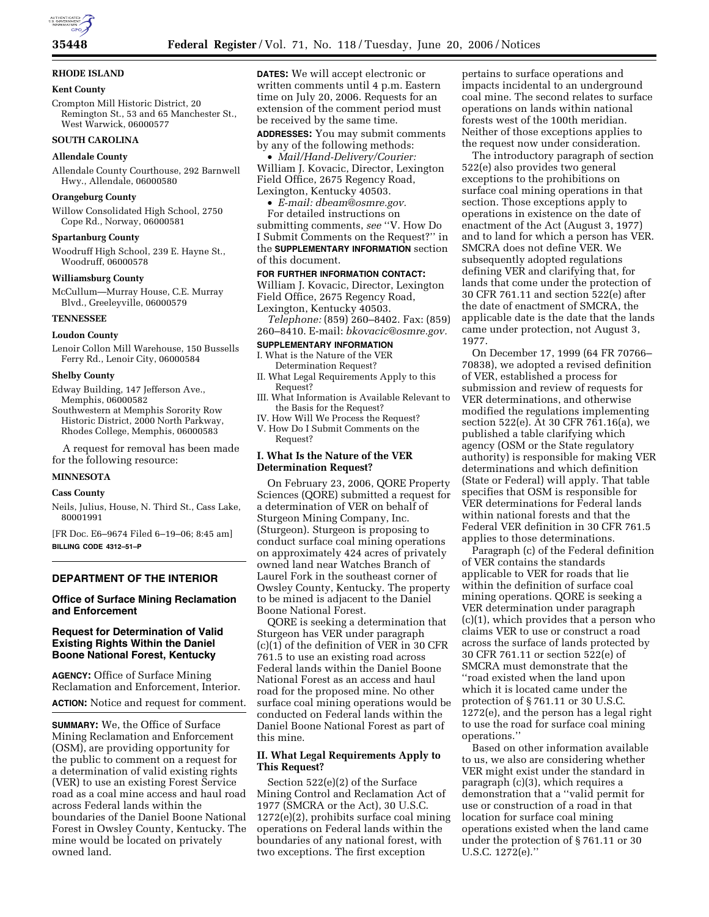# **RHODE ISLAND**

#### **Kent County**

Crompton Mill Historic District, 20 Remington St., 53 and 65 Manchester St., West Warwick, 06000577

# **SOUTH CAROLINA**

### **Allendale County**

Allendale County Courthouse, 292 Barnwell Hwy., Allendale, 06000580

### **Orangeburg County**

Willow Consolidated High School, 2750 Cope Rd., Norway, 06000581

### **Spartanburg County**

Woodruff High School, 239 E. Hayne St., Woodruff, 06000578

### **Williamsburg County**

McCullum—Murray House, C.E. Murray Blvd., Greeleyville, 06000579

### **TENNESSEE**

#### **Loudon County**

Lenoir Collon Mill Warehouse, 150 Bussells Ferry Rd., Lenoir City, 06000584

### **Shelby County**

Edway Building, 147 Jefferson Ave., Memphis, 06000582

Southwestern at Memphis Sorority Row Historic District, 2000 North Parkway, Rhodes College, Memphis, 06000583

A request for removal has been made for the following resource:

# **MINNESOTA**

# **Cass County**

Neils, Julius, House, N. Third St., Cass Lake, 80001991

[FR Doc. E6–9674 Filed 6–19–06; 8:45 am] **BILLING CODE 4312–51–P** 

### **DEPARTMENT OF THE INTERIOR**

# **Office of Surface Mining Reclamation and Enforcement**

# **Request for Determination of Valid Existing Rights Within the Daniel Boone National Forest, Kentucky**

**AGENCY:** Office of Surface Mining Reclamation and Enforcement, Interior. **ACTION:** Notice and request for comment.

**SUMMARY:** We, the Office of Surface Mining Reclamation and Enforcement (OSM), are providing opportunity for the public to comment on a request for a determination of valid existing rights (VER) to use an existing Forest Service road as a coal mine access and haul road across Federal lands within the boundaries of the Daniel Boone National Forest in Owsley County, Kentucky. The mine would be located on privately owned land.

**DATES:** We will accept electronic or written comments until 4 p.m. Eastern time on July 20, 2006. Requests for an extension of the comment period must be received by the same time.

**ADDRESSES:** You may submit comments by any of the following methods:

• *Mail/Hand-Delivery/Courier:*  William J. Kovacic, Director, Lexington Field Office, 2675 Regency Road, Lexington, Kentucky 40503.

• *E-mail: dbeam@osmre.gov.*  For detailed instructions on

submitting comments, *see* ''V. How Do I Submit Comments on the Request?'' in the **SUPPLEMENTARY INFORMATION** section of this document.

### **FOR FURTHER INFORMATION CONTACT:**

William J. Kovacic, Director, Lexington Field Office, 2675 Regency Road, Lexington, Kentucky 40503.

*Telephone:* (859) 260–8402. Fax: (859) 260–8410. E-mail: *bkovacic@osmre.gov.* 

#### **SUPPLEMENTARY INFORMATION**

#### I. What is the Nature of the VER

- Determination Request? II. What Legal Requirements Apply to this Request?
- III. What Information is Available Relevant to the Basis for the Request?
- IV. How Will We Process the Request? V. How Do I Submit Comments on the Request?

### **I. What Is the Nature of the VER Determination Request?**

On February 23, 2006, QORE Property Sciences (QORE) submitted a request for a determination of VER on behalf of Sturgeon Mining Company, Inc. (Sturgeon). Sturgeon is proposing to conduct surface coal mining operations on approximately 424 acres of privately owned land near Watches Branch of Laurel Fork in the southeast corner of Owsley County, Kentucky. The property to be mined is adjacent to the Daniel Boone National Forest.

QORE is seeking a determination that Sturgeon has VER under paragraph (c)(1) of the definition of VER in 30 CFR 761.5 to use an existing road across Federal lands within the Daniel Boone National Forest as an access and haul road for the proposed mine. No other surface coal mining operations would be conducted on Federal lands within the Daniel Boone National Forest as part of this mine.

# **II. What Legal Requirements Apply to This Request?**

Section 522(e)(2) of the Surface Mining Control and Reclamation Act of 1977 (SMCRA or the Act), 30 U.S.C. 1272(e)(2), prohibits surface coal mining operations on Federal lands within the boundaries of any national forest, with two exceptions. The first exception

pertains to surface operations and impacts incidental to an underground coal mine. The second relates to surface operations on lands within national forests west of the 100th meridian. Neither of those exceptions applies to the request now under consideration.

The introductory paragraph of section 522(e) also provides two general exceptions to the prohibitions on surface coal mining operations in that section. Those exceptions apply to operations in existence on the date of enactment of the Act (August 3, 1977) and to land for which a person has VER. SMCRA does not define VER. We subsequently adopted regulations defining VER and clarifying that, for lands that come under the protection of 30 CFR 761.11 and section 522(e) after the date of enactment of SMCRA, the applicable date is the date that the lands came under protection, not August 3, 1977.

On December 17, 1999 (64 FR 70766– 70838), we adopted a revised definition of VER, established a process for submission and review of requests for VER determinations, and otherwise modified the regulations implementing section 522(e). At 30 CFR 761.16(a), we published a table clarifying which agency (OSM or the State regulatory authority) is responsible for making VER determinations and which definition (State or Federal) will apply. That table specifies that OSM is responsible for VER determinations for Federal lands within national forests and that the Federal VER definition in 30 CFR 761.5 applies to those determinations.

Paragraph (c) of the Federal definition of VER contains the standards applicable to VER for roads that lie within the definition of surface coal mining operations. QORE is seeking a VER determination under paragraph  $(c)(1)$ , which provides that a person who claims VER to use or construct a road across the surface of lands protected by 30 CFR 761.11 or section 522(e) of SMCRA must demonstrate that the ''road existed when the land upon which it is located came under the protection of § 761.11 or 30 U.S.C. 1272(e), and the person has a legal right to use the road for surface coal mining operations.''

Based on other information available to us, we also are considering whether VER might exist under the standard in paragraph (c)(3), which requires a demonstration that a ''valid permit for use or construction of a road in that location for surface coal mining operations existed when the land came under the protection of § 761.11 or 30 U.S.C. 1272(e).''